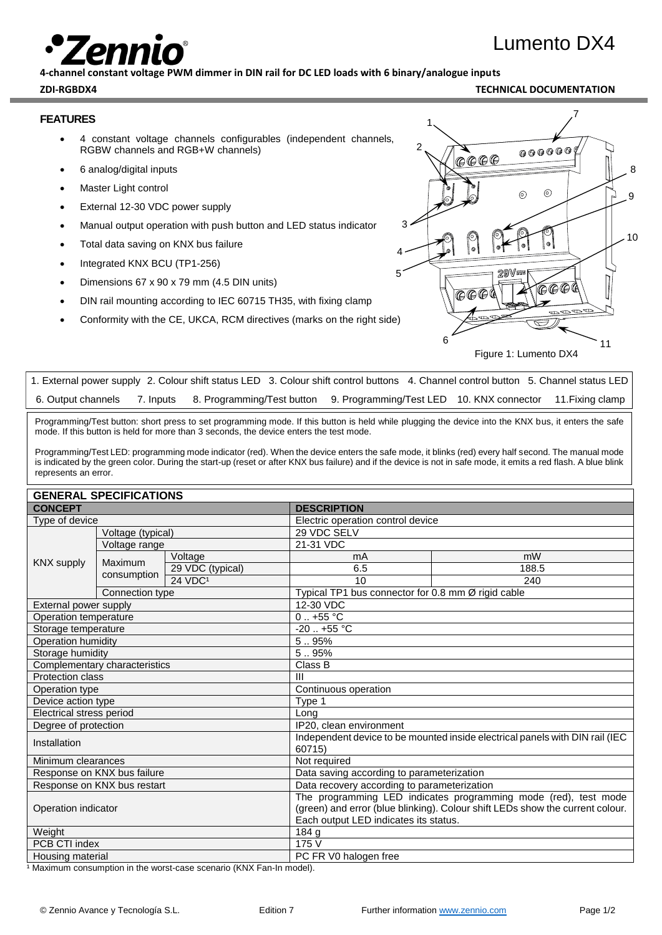# Lumento DX4

**4-channel constant voltage PWM dimmer in DIN rail for DC LED loads with 6 binary/analogue inputs**

#### **ZDI-RGBDX4 TECHNICAL DOCUMENTATION**

#### **FEATURES**

- 4 constant voltage channels configurables (independent channels, RGBW channels and RGB+W channels)
- 6 analog/digital inputs
- **Master Light control**
- External 12-30 VDC power supply
- Manual output operation with push button and LED status indicator
- Total data saving on KNX bus failure
- Integrated KNX BCU (TP1-256)
- Dimensions 67 x 90 x 79 mm (4.5 DIN units)
- DIN rail mounting according to IEC 60715 TH35, with fixing clamp
- Conformity with the CE, UKCA, RCM directives (marks on the right side)



Figure 1: Lumento DX4

| 6. Output channels 7. Inputs 8. Programming/Test button 9. Programming/Test LED 10. KNX connector 11. Fixing clamp |  | 1. External power supply 2. Colour shift status LED 3. Colour shift control buttons 4. Channel control button 5. Channel status LED |  |  |
|--------------------------------------------------------------------------------------------------------------------|--|-------------------------------------------------------------------------------------------------------------------------------------|--|--|
|                                                                                                                    |  |                                                                                                                                     |  |  |

Programming/Test button: short press to set programming mode. If this button is held while plugging the device into the KNX bus, it enters the safe mode. If this button is held for more than 3 seconds, the device enters the test mode.

Programming/Test LED: programming mode indicator (red). When the device enters the safe mode, it blinks (red) every half second. The manual mode is indicated by the green color. During the start-up (reset or after KNX bus failure) and if the device is not in safe mode, it emits a red flash. A blue blink represents an error.

#### **GENERAL SPECIFICATIONS**

|                               | LNLINAL UI LUII IUATIUINU |                     |                                                                               |                                                                               |  |  |
|-------------------------------|---------------------------|---------------------|-------------------------------------------------------------------------------|-------------------------------------------------------------------------------|--|--|
| <b>CONCEPT</b>                |                           |                     | <b>DESCRIPTION</b>                                                            |                                                                               |  |  |
| Type of device                |                           |                     |                                                                               | Electric operation control device                                             |  |  |
|                               | Voltage (typical)         |                     | 29 VDC SELV                                                                   |                                                                               |  |  |
|                               | Voltage range             |                     | 21-31 VDC                                                                     |                                                                               |  |  |
|                               | Maximum                   | Voltage             | mA                                                                            | mW                                                                            |  |  |
| <b>KNX supply</b>             | consumption               | 29 VDC (typical)    | 6.5                                                                           | 188.5                                                                         |  |  |
|                               |                           | 24 VDC <sup>1</sup> | 10                                                                            | 240                                                                           |  |  |
|                               | Connection type           |                     |                                                                               | Typical TP1 bus connector for 0.8 mm Ø rigid cable                            |  |  |
| External power supply         |                           |                     | 12-30 VDC                                                                     |                                                                               |  |  |
| Operation temperature         |                           |                     | $0.1 + 55$ °C                                                                 |                                                                               |  |  |
| Storage temperature           |                           |                     | $-20$ $+55$ °C                                                                |                                                                               |  |  |
| Operation humidity            |                           |                     | 5.95%                                                                         |                                                                               |  |  |
| Storage humidity              |                           |                     | 5.95%                                                                         |                                                                               |  |  |
| Complementary characteristics |                           |                     | Class B                                                                       |                                                                               |  |  |
| Protection class              |                           |                     | $\mathbf{III}$                                                                |                                                                               |  |  |
| Operation type                |                           |                     | Continuous operation                                                          |                                                                               |  |  |
| Device action type            |                           |                     | Type 1                                                                        |                                                                               |  |  |
| Electrical stress period      |                           |                     | Long                                                                          |                                                                               |  |  |
| Degree of protection          |                           |                     | IP20, clean environment                                                       |                                                                               |  |  |
| Installation                  |                           |                     | 60715)                                                                        | Independent device to be mounted inside electrical panels with DIN rail (IEC) |  |  |
| Minimum clearances            |                           |                     | Not required                                                                  |                                                                               |  |  |
| Response on KNX bus failure   |                           |                     | Data saving according to parameterization                                     |                                                                               |  |  |
| Response on KNX bus restart   |                           |                     |                                                                               | Data recovery according to parameterization                                   |  |  |
|                               |                           |                     | The programming LED indicates programming mode (red), test mode               |                                                                               |  |  |
| Operation indicator           |                           |                     | (green) and error (blue blinking). Colour shift LEDs show the current colour. |                                                                               |  |  |
|                               |                           |                     | Each output LED indicates its status.                                         |                                                                               |  |  |
| Weight                        |                           |                     | 184 g                                                                         |                                                                               |  |  |
| PCB CTI index                 |                           |                     | 175 V                                                                         |                                                                               |  |  |
| Housing material              |                           |                     | PC FR V0 halogen free                                                         |                                                                               |  |  |

1 Maximum consumption in the worst-case scenario (KNX Fan-In model).